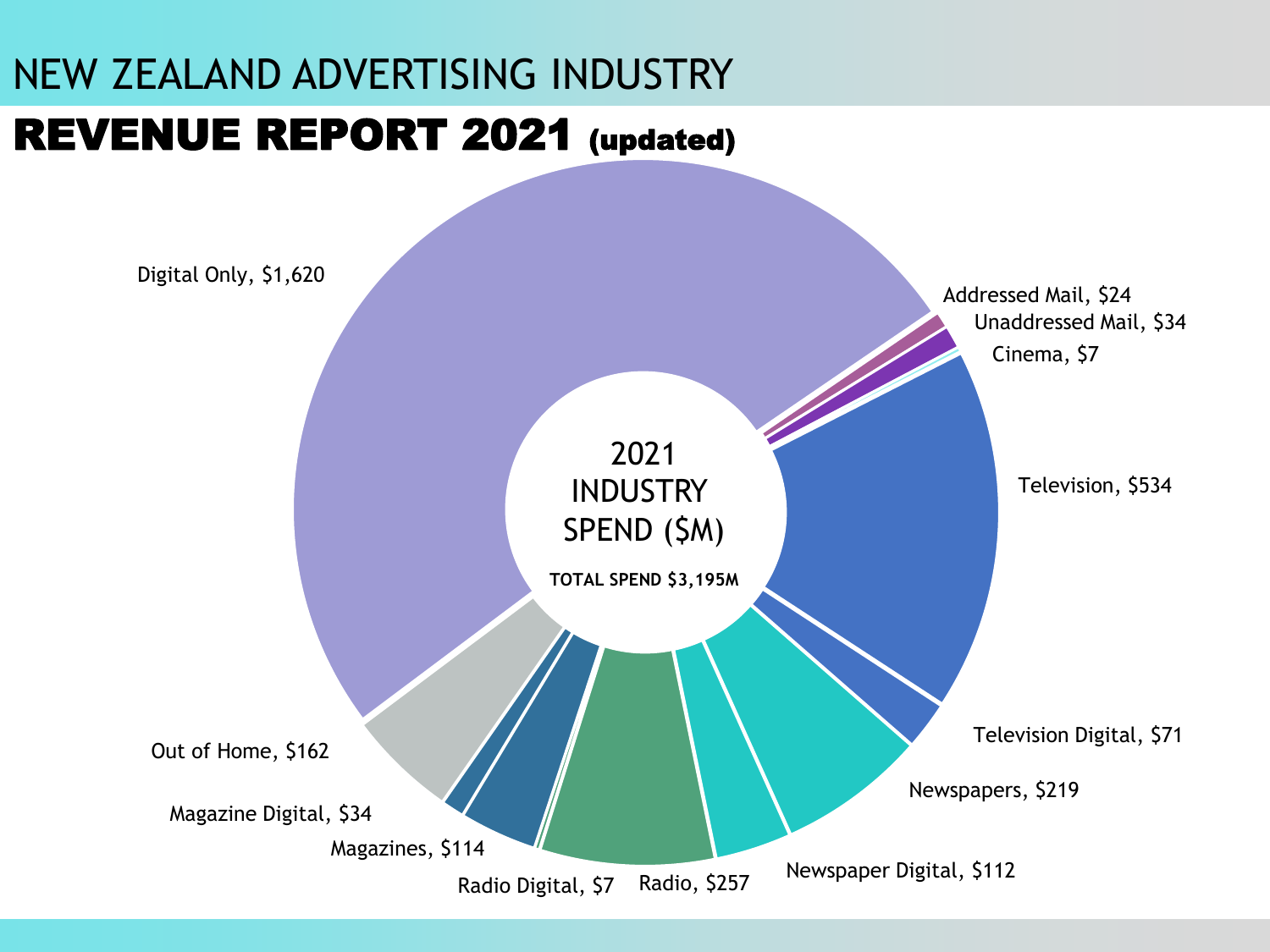# NEW ZEALAND ADVERTISING INDUSTRY

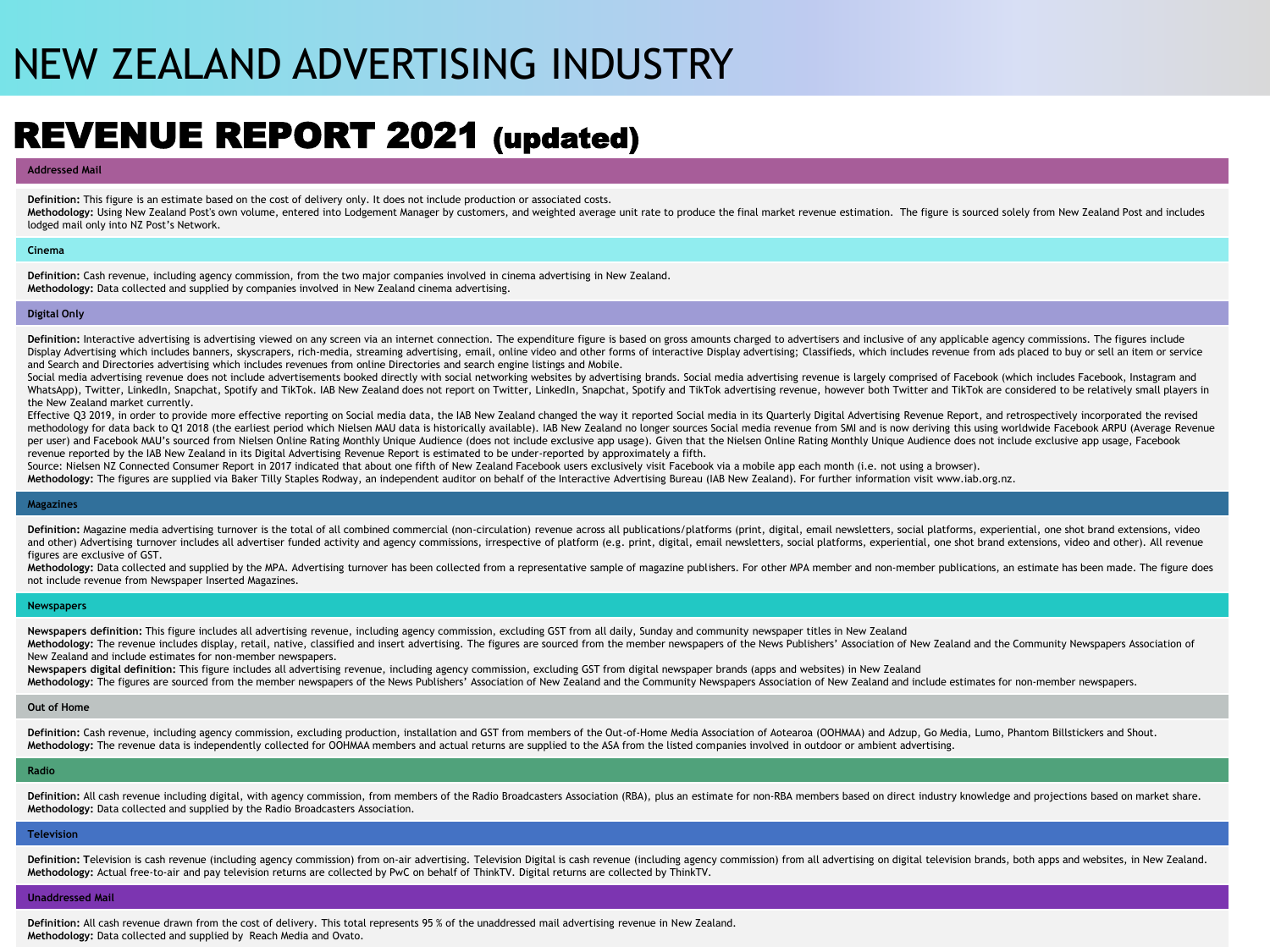# NEW ZEALAND ADVERTISING INDUSTRY

### REVENUE REPORT 2021 (updated)

#### **Addressed Mail**

**Definition:** This figure is an estimate based on the cost of delivery only. It does not include production or associated costs. Methodology: Using New Zealand Post's own volume, entered into Lodgement Manager by customers, and weighted average unit rate to produce the final market revenue estimation. The figure is sourced solely from New Zealand Po lodged mail only into NZ Post's Network.

#### **Cinema**

**Definition:** Cash revenue, including agency commission, from the two major companies involved in cinema advertising in New Zealand. **Methodology:** Data collected and supplied by companies involved in New Zealand cinema advertising.

#### **Digital Only**

Definition; Interactive advertising is advertising viewed on any screen via an internet connection. The expenditure figure is based on gross amounts charged to advertisers and inclusive of any applicable agency commissions Display Advertising which includes banners, skyscrapers, rich-media, streaming advertising, email, online video and other forms of interactive Display advertising; Classifieds, which includes revenue from ads placed to buy and Search and Directories advertising which includes revenues from online Directories and search engine listings and Mobile.

Social media advertising revenue does not include advertisements booked directly with social networking websites by advertising brands. Social media advertising revenue is largely comprised of Facebook (which includes Face WhatsApp), Twitter, Linkedln, Snapchat, Spotify and TikTok. IAB New Zealand does not report on Twitter, Linkedln, Snapchat, Spotify and TikTok advertising revenue, however both Twitter and TikTok are considered to be relat the New Zealand market currently.

Effective Q3 2019, in order to provide more effective reporting on Social media data, the IAB New Zealand changed the way it reported Social media in its Quarterly Digital Advertising Revenue Report, and retrospectively in methodology for data back to Q1 2018 (the earliest period which Nielsen MAU data is historically available). IAB New Zealand no longer sources Social media revenue from SMI and is now deriving this using worldwide Facebook per user) and Facebook MAU's sourced from Nielsen Online Rating Monthly Unique Audience (does not include exclusive app usage). Given that the Nielsen Online Rating Monthly Unique Audience does not include exclusive app us revenue reported by the IAB New Zealand in its Digital Advertising Revenue Report is estimated to be under-reported by approximately a fifth.

Source: Nielsen NZ Connected Consumer Report in 2017 indicated that about one fifth of New Zealand Facebook users exclusively visit Facebook via a mobile app each month (i.e. not using a browser).

**Methodology:** The figures are supplied via Baker Tilly Staples Rodway, an independent auditor on behalf of the Interactive Advertising Bureau (IAB New Zealand). For further information visit www.iab.org.nz.

#### **Magazines**

Definition: Magazine media advertising turnover is the total of all combined commercial (non-circulation) revenue across all publications/platforms (print, digital, email newsletters, social platforms, experiential, one sh and other) Advertising turnover includes all advertiser funded activity and agency commissions, irrespective of platform (e.g. print, digital, email newsletters, social platforms, experiential, one shot brand extensions, v figures are exclusive of GST.

Methodology: Data collected and supplied by the MPA. Advertising turnover has been collected from a representative sample of magazine publishers. For other MPA member and non-member publications, an estimate has been made. not include revenue from Newspaper Inserted Magazines.

#### **Newspapers**

**Newspapers definition:** This figure includes all advertising revenue, including agency commission, excluding GST from all daily, Sunday and community newspaper titles in New Zealand

Methodology: The revenue includes display, retail, native, classified and insert advertising. The figures are sourced from the member newspapers of the News Publishers' Association of New Zealand and the Community Newspape New Zealand and include estimates for non-member newspapers.

**Newspapers digital definition:** This figure includes all advertising revenue, including agency commission, excluding GST from digital newspaper brands (apps and websites) in New Zealand

Methodology: The figures are sourced from the member newspapers of the News Publishers' Association of New Zealand and the Community Newspapers Association of New Zealand and include estimates for non-member newspapers.

#### **Out of Home**

Definition: Cash revenue, including agency commission, excluding production, installation and GST from members of the Out-of-Home Media Association of Aotearoa (OOHMAA) and Adzup, Go Media, Lumo, Phantom Billstickers and S **Methodology:** The revenue data is independently collected for OOHMAA members and actual returns are supplied to the ASA from the listed companies involved in outdoor or ambient advertising.

#### **Radio**

Definition: All cash revenue including digital, with agency commission, from members of the Radio Broadcasters Association (RBA), plus an estimate for non-RBA members based on direct industry knowledge and projections base **Methodology:** Data collected and supplied by the Radio Broadcasters Association.

#### **Television**

Definition: Television is cash revenue (including agency commission) from on-air advertising. Television Digital is cash revenue (including agency commission) from all advertising on digital television brands, both apps an **Methodology:** Actual free-to-air and pay television returns are collected by PwC on behalf of ThinkTV. Digital returns are collected by ThinkTV.

#### **Unaddressed Mail**

**Definition:** All cash revenue drawn from the cost of delivery. This total represents 95 % of the unaddressed mail advertising revenue in New Zealand. **Methodology:** Data collected and supplied by Reach Media and Ovato.